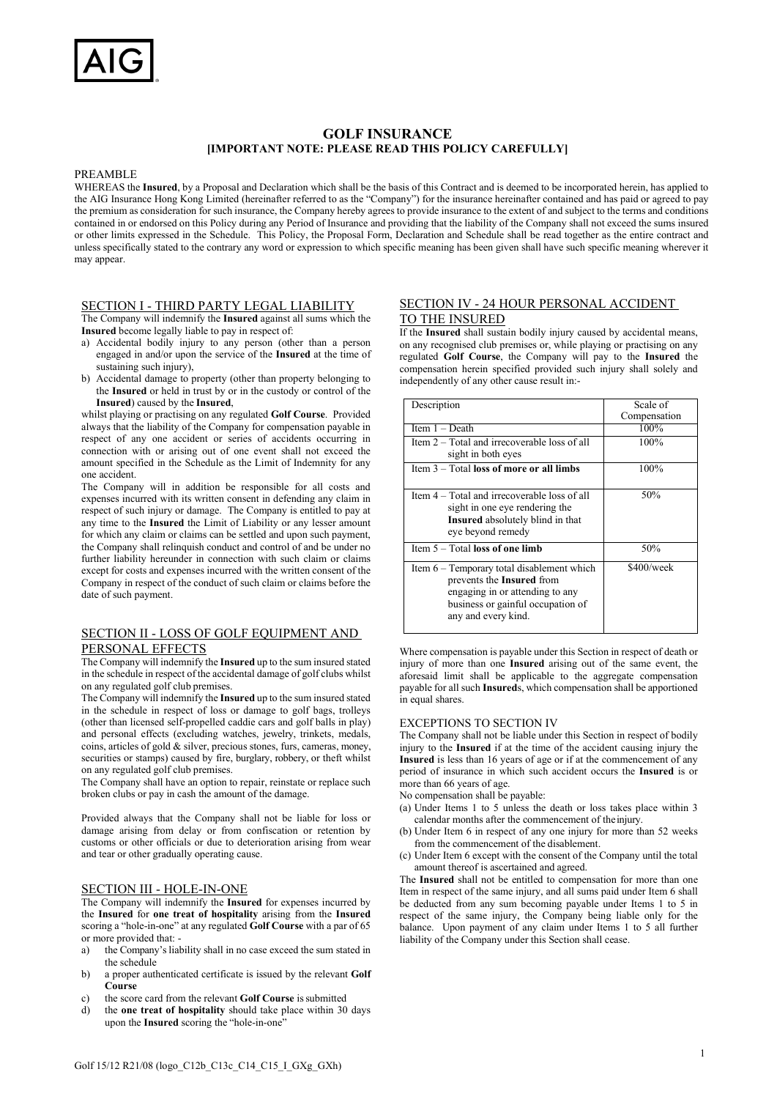# **GOLF INSURANCE [IMPORTANT NOTE: PLEASE READ THIS POLICY CAREFULLY]**

#### PREAMBLE

WHEREAS the **Insured**, by a Proposal and Declaration which shall be the basis of this Contract and is deemed to be incorporated herein, has applied to the AIG Insurance Hong Kong Limited (hereinafter referred to as the "Company") for the insurance hereinafter contained and has paid or agreed to pay the premium as consideration for such insurance, the Company hereby agrees to provide insurance to the extent of and subject to the terms and conditions contained in or endorsed on this Policy during any Period of Insurance and providing that the liability of the Company shall not exceed the sums insured or other limits expressed in the Schedule. This Policy, the Proposal Form, Declaration and Schedule shall be read together as the entire contract and unless specifically stated to the contrary any word or expression to which specific meaning has been given shall have such specific meaning wherever it may appear.

## SECTION I - THIRD PARTY LEGAL LIABILITY

The Company will indemnify the **Insured** against all sums which the **Insured** become legally liable to pay in respect of:

- a) Accidental bodily injury to any person (other than a person engaged in and/or upon the service of the **Insured** at the time of sustaining such injury),
- b) Accidental damage to property (other than property belonging to the **Insured** or held in trust by or in the custody or control of the **Insured**) caused by the **Insured**,

whilst playing or practising on any regulated **Golf Course**. Provided always that the liability of the Company for compensation payable in respect of any one accident or series of accidents occurring in connection with or arising out of one event shall not exceed the amount specified in the Schedule as the Limit of Indemnity for any one accident.

The Company will in addition be responsible for all costs and expenses incurred with its written consent in defending any claim in respect of such injury or damage. The Company is entitled to pay at any time to the **Insured** the Limit of Liability or any lesser amount for which any claim or claims can be settled and upon such payment, the Company shall relinquish conduct and control of and be under no further liability hereunder in connection with such claim or claims except for costs and expenses incurred with the written consent of the Company in respect of the conduct of such claim or claims before the date of such payment.

## SECTION II - LOSS OF GOLF EQUIPMENT AND PERSONAL EFFECTS

The Company will indemnify the **Insured** up to the sum insured stated in the schedule in respect of the accidental damage of golf clubs whilst on any regulated golf club premises.

The Company will indemnify the **Insured** up to the sum insured stated in the schedule in respect of loss or damage to golf bags, trolleys (other than licensed self-propelled caddie cars and golf balls in play) and personal effects (excluding watches, jewelry, trinkets, medals, coins, articles of gold & silver, precious stones, furs, cameras, money, securities or stamps) caused by fire, burglary, robbery, or theft whilst on any regulated golf club premises.

The Company shall have an option to repair, reinstate or replace such broken clubs or pay in cash the amount of the damage.

Provided always that the Company shall not be liable for loss or damage arising from delay or from confiscation or retention by customs or other officials or due to deterioration arising from wear and tear or other gradually operating cause.

## SECTION III - HOLE-IN-ONE

The Company will indemnify the **Insured** for expenses incurred by the **Insured** for **one treat of hospitality** arising from the **Insured** scoring a "hole-in-one" at any regulated **Golf Course** with a par of 65 or more provided that:

- a) the Company's liability shall in no case exceed the sum stated in the schedule
- b) a proper authenticated certificate is issued by the relevant **Golf Course**
- c) the score card from the relevant **Golf Course** issubmitted
- d) the **one treat of hospitality** should take place within 30 days upon the **Insured** scoring the "hole-in-one"

## SECTION IV - 24 HOUR PERSONAL ACCIDENT TO THE INSURED

If the **Insured** shall sustain bodily injury caused by accidental means, on any recognised club premises or, while playing or practising on any regulated **Golf Course**, the Company will pay to the **Insured** the compensation herein specified provided such injury shall solely and independently of any other cause result in:-

| Description                                                                                                                                                              | Scale of     |
|--------------------------------------------------------------------------------------------------------------------------------------------------------------------------|--------------|
|                                                                                                                                                                          | Compensation |
| Item $1 - \text{Death}$                                                                                                                                                  | 100%         |
| Item 2 – Total and irrecoverable loss of all<br>sight in both eyes                                                                                                       | 100%         |
| Item $3 - Total$ loss of more or all limbs                                                                                                                               | 100%         |
| Item 4 – Total and irrecoverable loss of all<br>sight in one eye rendering the<br>Insured absolutely blind in that<br>eye beyond remedy                                  | 50%          |
| Item $5 - Total$ loss of one limb                                                                                                                                        | 50%          |
| Item $6 -$ Temporary total disablement which<br>prevents the Insured from<br>engaging in or attending to any<br>business or gainful occupation of<br>any and every kind. | \$400/week   |

Where compensation is payable under this Section in respect of death or injury of more than one **Insured** arising out of the same event, the aforesaid limit shall be applicable to the aggregate compensation payable for all such **Insured**s, which compensation shall be apportioned in equal shares.

### EXCEPTIONS TO SECTION IV

The Company shall not be liable under this Section in respect of bodily injury to the **Insured** if at the time of the accident causing injury the **Insured** is less than 16 years of age or if at the commencement of any period of insurance in which such accident occurs the **Insured** is or more than 66 years of age.

No compensation shall be payable:

- (a) Under Items 1 to 5 unless the death or loss takes place within 3 calendar months after the commencement of theinjury.
- (b) Under Item 6 in respect of any one injury for more than 52 weeks from the commencement of the disablement.
- (c) Under Item 6 except with the consent of the Company until the total amount thereof is ascertained and agreed.

The **Insured** shall not be entitled to compensation for more than one Item in respect of the same injury, and all sums paid under Item 6 shall be deducted from any sum becoming payable under Items 1 to 5 in respect of the same injury, the Company being liable only for the balance. Upon payment of any claim under Items 1 to 5 all further liability of the Company under this Section shall cease.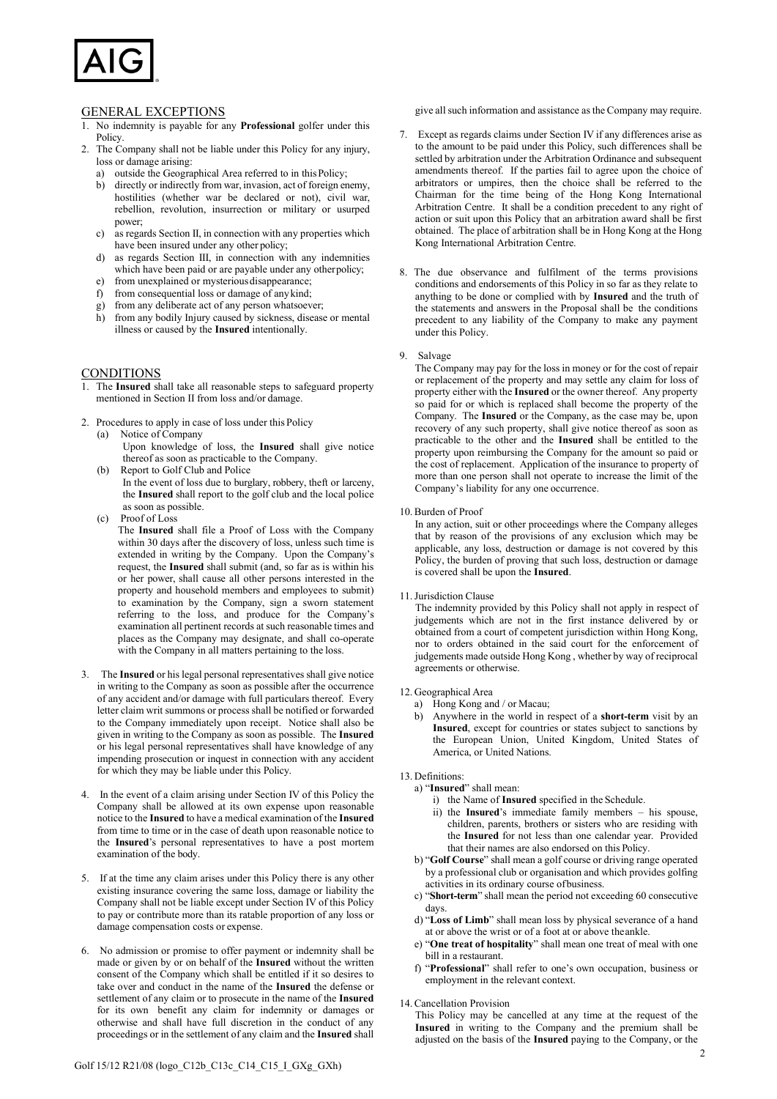

## GENERAL EXCEPTIONS

- 1. No indemnity is payable for any **Professional** golfer under this Policy.
- 2. The Company shall not be liable under this Policy for any injury, loss or damage arising:
	- a) outside the Geographical Area referred to in thisPolicy;
	- b) directly or indirectly from war, invasion, act of foreign enemy, hostilities (whether war be declared or not), civil war, rebellion, revolution, insurrection or military or usurped power;
	- c) as regards Section II, in connection with any properties which have been insured under any other policy;
	- d) as regards Section III, in connection with any indemnities which have been paid or are payable under any otherpolicy;
	- e) from unexplained or mysterious disappearance;<br>f) from consequential loss or damage of any kind:
	- from consequential loss or damage of any kind;
	- g) from any deliberate act of any person whatsoever;
	- h) from any bodily Injury caused by sickness, disease or mental illness or caused by the **Insured** intentionally.

## CONDITIONS

- 1. The **Insured** shall take all reasonable steps to safeguard property mentioned in Section II from loss and/or damage.
- 2. Procedures to apply in case of loss under this Policy (a) Notice of Company
	- Upon knowledge of loss, the **Insured** shall give notice thereof as soon as practicable to the Company.
	- (b) Report to Golf Club and Police In the event of loss due to burglary, robbery, theft or larceny, the **Insured** shall report to the golf club and the local police as soon as possible.
	- (c) Proof of Loss

The **Insured** shall file a Proof of Loss with the Company within 30 days after the discovery of loss, unless such time is extended in writing by the Company. Upon the Company's request, the **Insured** shall submit (and, so far as is within his or her power, shall cause all other persons interested in the property and household members and employees to submit) to examination by the Company, sign a sworn statement referring to the loss, and produce for the Company's examination all pertinent records at such reasonable times and places as the Company may designate, and shall co-operate with the Company in all matters pertaining to the loss.

- 3. The **Insured** or his legal personal representatives shall give notice in writing to the Company as soon as possible after the occurrence of any accident and/or damage with full particulars thereof. Every letter claim writ summons or process shall be notified or forwarded to the Company immediately upon receipt. Notice shall also be given in writing to the Company as soon as possible. The **Insured** or his legal personal representatives shall have knowledge of any impending prosecution or inquest in connection with any accident for which they may be liable under this Policy.
- 4. In the event of a claim arising under Section IV of this Policy the Company shall be allowed at its own expense upon reasonable notice to the **Insured** to have a medical examination of the **Insured** from time to time or in the case of death upon reasonable notice to the **Insured**'s personal representatives to have a post mortem examination of the body.
- 5. If at the time any claim arises under this Policy there is any other existing insurance covering the same loss, damage or liability the Company shall not be liable except under Section IV of this Policy to pay or contribute more than its ratable proportion of any loss or damage compensation costs or expense.
- 6. No admission or promise to offer payment or indemnity shall be made or given by or on behalf of the **Insured** without the written consent of the Company which shall be entitled if it so desires to take over and conduct in the name of the **Insured** the defense or settlement of any claim or to prosecute in the name of the **Insured** for its own benefit any claim for indemnity or damages or otherwise and shall have full discretion in the conduct of any proceedings or in the settlement of any claim and the **Insured** shall

Golf 15/12 R21/08 (logo\_C12b\_C13c\_C14\_C15\_I\_GXg\_GXh)

give all such information and assistance as the Company may require.

- 7. Except as regards claims under Section IV if any differences arise as to the amount to be paid under this Policy, such differences shall be settled by arbitration under the Arbitration Ordinance and subsequent amendments thereof. If the parties fail to agree upon the choice of arbitrators or umpires, then the choice shall be referred to the Chairman for the time being of the Hong Kong International Arbitration Centre. It shall be a condition precedent to any right of action or suit upon this Policy that an arbitration award shall be first obtained. The place of arbitration shall be in Hong Kong at the Hong Kong International Arbitration Centre.
- 8. The due observance and fulfilment of the terms provisions conditions and endorsements of this Policy in so far as they relate to anything to be done or complied with by **Insured** and the truth of the statements and answers in the Proposal shall be the conditions precedent to any liability of the Company to make any payment under this Policy.

### 9. Salvage

The Company may pay for the loss in money or for the cost of repair or replacement of the property and may settle any claim for loss of property either with the **Insured** or the owner thereof. Any property so paid for or which is replaced shall become the property of the Company. The **Insured** or the Company, as the case may be, upon recovery of any such property, shall give notice thereof as soon as practicable to the other and the **Insured** shall be entitled to the property upon reimbursing the Company for the amount so paid or the cost of replacement. Application of the insurance to property of more than one person shall not operate to increase the limit of the Company's liability for any one occurrence.

### 10. Burden of Proof

In any action, suit or other proceedings where the Company alleges that by reason of the provisions of any exclusion which may be applicable, any loss, destruction or damage is not covered by this Policy, the burden of proving that such loss, destruction or damage is covered shall be upon the **Insured**.

11.Jurisdiction Clause

The indemnity provided by this Policy shall not apply in respect of judgements which are not in the first instance delivered by or obtained from a court of competent jurisdiction within Hong Kong, nor to orders obtained in the said court for the enforcement of judgements made outside Hong Kong , whether by way of reciprocal agreements or otherwise.

12. Geographical Area

- a) Hong Kong and / or Macau;
- b) Anywhere in the world in respect of a **short-term** visit by an **Insured**, except for countries or states subject to sanctions by the European Union, United Kingdom, United States of America, or United Nations.
- 13. Definitions:
	- a) "**Insured**" shall mean:
		- i) the Name of **Insured** specified in the Schedule.
		- ii) the **Insured**'s immediate family members his spouse, children, parents, brothers or sisters who are residing with the **Insured** for not less than one calendar year. Provided that their names are also endorsed on this Policy.
	- b) "**Golf Course**" shall mean a golf course or driving range operated by a professional club or organisation and which provides golfing activities in its ordinary course ofbusiness.
	- c) "**Short-term**" shall mean the period not exceeding 60 consecutive days.
	- d) "**Loss of Limb**" shall mean loss by physical severance of a hand at or above the wrist or of a foot at or above theankle.
	- e) "**One treat of hospitality**" shall mean one treat of meal with one bill in a restaurant.
	- f) "**Professional**" shall refer to one's own occupation, business or employment in the relevant context.
- 14. Cancellation Provision

This Policy may be cancelled at any time at the request of the **Insured** in writing to the Company and the premium shall be adjusted on the basis of the **Insured** paying to the Company, or the